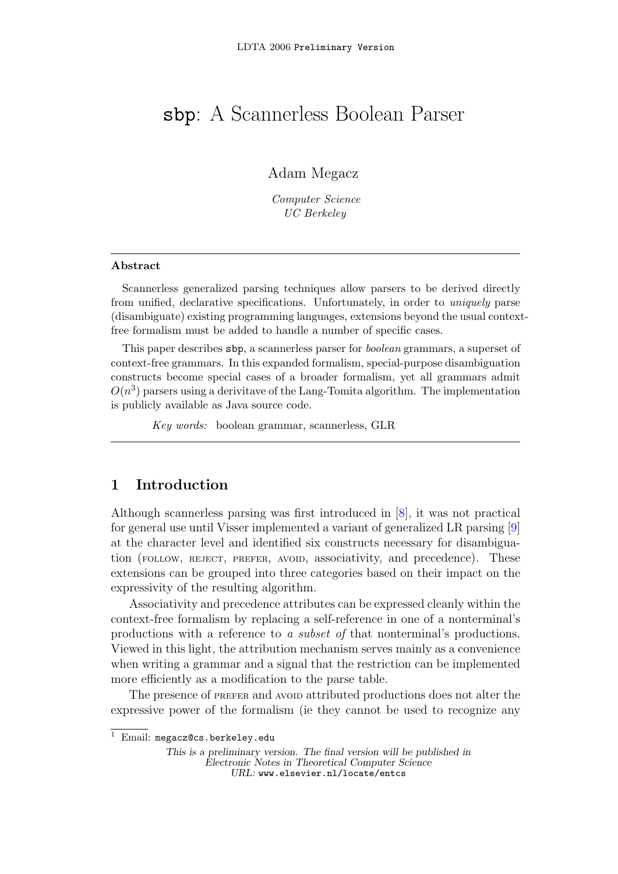# sbp: A Scannerless Boolean Parser

Adam Megacz

Computer Science UC Berkeley

#### Abstract

Scannerless generalized parsing techniques allow parsers to be derived directly from unified, declarative specifications. Unfortunately, in order to *uniquely* parse (disambiguate) existing programming languages, extensions beyond the usual contextfree formalism must be added to handle a number of specific cases.

This paper describes sbp, a scannerless parser for boolean grammars, a superset of context-free grammars. In this expanded formalism, special-purpose disambiguation constructs become special cases of a broader formalism, yet all grammars admit  $O(n^3)$  parsers using a derivitave of the Lang-Tomita algorithm. The implementation is publicly available as Java source code.

Key words: boolean grammar, scannerless, GLR

# 1 Introduction

Although scannerless parsing was first introduced in [\[8\]](#page-4-0), it was not practical for general use until Visser implemented a variant of generalized LR parsing [\[9\]](#page-4-1) at the character level and identified six constructs necessary for disambiguation (FOLLOW, REJECT, PREFER, AVOID, associativity, and precedence). These extensions can be grouped into three categories based on their impact on the expressivity of the resulting algorithm.

Associativity and precedence attributes can be expressed cleanly within the context-free formalism by replacing a self-reference in one of a nonterminal's productions with a reference to a subset of that nonterminal's productions. Viewed in this light, the attribution mechanism serves mainly as a convenience when writing a grammar and a signal that the restriction can be implemented more efficiently as a modification to the parse table.

The presence of preferse and avoid attributed productions does not alter the expressive power of the formalism (ie they cannot be used to recognize any

<sup>&</sup>lt;sup>1</sup> Email: megacz@cs.berkeley.edu

This is a preliminary version. The final version will be published in Electronic Notes in Theoretical Computer Science URL: www.elsevier.nl/locate/entcs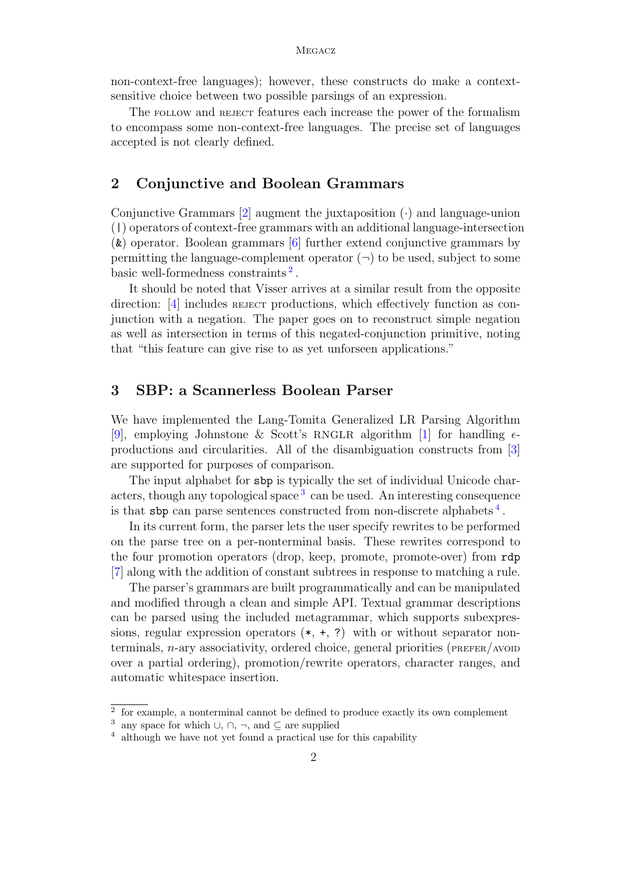non-context-free languages); however, these constructs do make a contextsensitive choice between two possible parsings of an expression.

The follow and reject features each increase the power of the formalism to encompass some non-context-free languages. The precise set of languages accepted is not clearly defined.

#### 2 Conjunctive and Boolean Grammars

Conjunctive Grammars  $[2]$  augment the juxtaposition  $(\cdot)$  and language-union (|) operators of context-free grammars with an additional language-intersection (&) operator. Boolean grammars [\[6\]](#page-4-3) further extend conjunctive grammars by permitting the language-complement operator  $(\neg)$  to be used, subject to some basic well-formedness constraints<sup>[2](#page-1-0)</sup>.

It should be noted that Visser arrives at a similar result from the opposite direction: [\[4\]](#page-4-4) includes reject productions, which effectively function as conjunction with a negation. The paper goes on to reconstruct simple negation as well as intersection in terms of this negated-conjunction primitive, noting that "this feature can give rise to as yet unforseen applications."

#### 3 SBP: a Scannerless Boolean Parser

We have implemented the Lang-Tomita Generalized LR Parsing Algorithm [\[9\]](#page-4-1), employing Johnstone & Scott's RNGLR algorithm [\[1\]](#page-4-5) for handling  $\epsilon$ productions and circularities. All of the disambiguation constructs from [\[3\]](#page-4-6) are supported for purposes of comparison.

The input alphabet for sbp is typically the set of individual Unicode char-acters, though any topological space<sup>[3](#page-1-1)</sup> can be used. An interesting consequence is that sbp can parse sentences constructed from non-discrete alphabets [4](#page-1-2) .

In its current form, the parser lets the user specify rewrites to be performed on the parse tree on a per-nonterminal basis. These rewrites correspond to the four promotion operators (drop, keep, promote, promote-over) from rdp [\[7\]](#page-4-7) along with the addition of constant subtrees in response to matching a rule.

The parser's grammars are built programmatically and can be manipulated and modified through a clean and simple API. Textual grammar descriptions can be parsed using the included metagrammar, which supports subexpressions, regular expression operators  $(*, +, ?)$  with or without separator nonterminals,  $n$ -ary associativity, ordered choice, general priorities ( $p_{\text{REFER}}/p_{\text{AVOD}}$ over a partial ordering), promotion/rewrite operators, character ranges, and automatic whitespace insertion.

<span id="page-1-0"></span><sup>&</sup>lt;sup>2</sup> for example, a nonterminal cannot be defined to produce exactly its own complement

<span id="page-1-1"></span><sup>&</sup>lt;sup>3</sup> any space for which ∪, ∩, ¬, and  $\subseteq$  are supplied

<span id="page-1-2"></span> $4$  although we have not yet found a practical use for this capability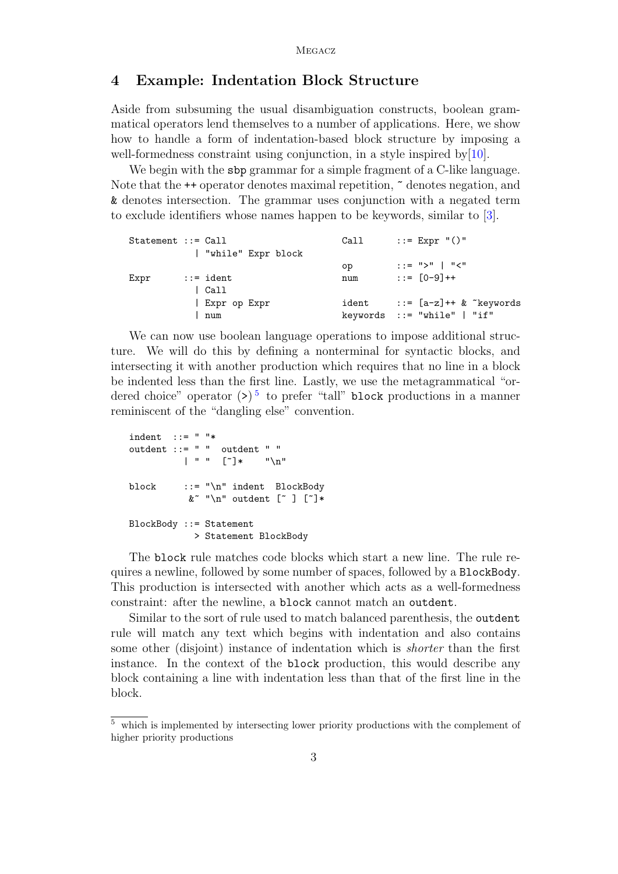## 4 Example: Indentation Block Structure

Aside from subsuming the usual disambiguation constructs, boolean grammatical operators lend themselves to a number of applications. Here, we show how to handle a form of indentation-based block structure by imposing a well-formedness constraint using conjunction, in a style inspired by [\[10\]](#page-4-8).

We begin with the sbp grammar for a simple fragment of a C-like language. Note that the  $\leftrightarrow$  operator denotes maximal repetition,  $\tilde{ }$  denotes negation, and & denotes intersection. The grammar uses conjunction with a negated term to exclude identifiers whose names happen to be keywords, similar to [\[3\]](#page-4-6).

| $Statement :: = Call$ |                    | Call | $::=$ Expr $"()"$              |
|-----------------------|--------------------|------|--------------------------------|
|                       | "while" Expr block |      |                                |
|                       |                    | oр   | $: := ">"]$   "<"              |
| Expr                  | $::=$ ident        | num  | $::=$ $[0-9]++$                |
|                       | l Call             |      |                                |
|                       | Expr op Expr       |      | ident $::=[a-z]+$ & "keywords" |
|                       | num                |      | keywords $ ::= "while"   "if"$ |

We can now use boolean language operations to impose additional structure. We will do this by defining a nonterminal for syntactic blocks, and intersecting it with another production which requires that no line in a block be indented less than the first line. Lastly, we use the metagrammatical "ordered choice" operator  $(\geq)$ <sup>[5](#page-2-0)</sup> to prefer "tall" block productions in a manner reminiscent of the "dangling else" convention.

```
indent ::= " "*
outdent ::= " " outdent " "
           \vert " " \vert \vert \uparrow \uparrowblock ::= "\n" indent BlockBody
            x^*"\n" outdent [" ] ["]*
BlockBody ::= Statement
             > Statement BlockBody
```
The block rule matches code blocks which start a new line. The rule requires a newline, followed by some number of spaces, followed by a BlockBody. This production is intersected with another which acts as a well-formedness constraint: after the newline, a block cannot match an outdent.

Similar to the sort of rule used to match balanced parenthesis, the outdent rule will match any text which begins with indentation and also contains some other (disjoint) instance of indentation which is shorter than the first instance. In the context of the block production, this would describe any block containing a line with indentation less than that of the first line in the block.

<span id="page-2-0"></span><sup>5</sup> which is implemented by intersecting lower priority productions with the complement of higher priority productions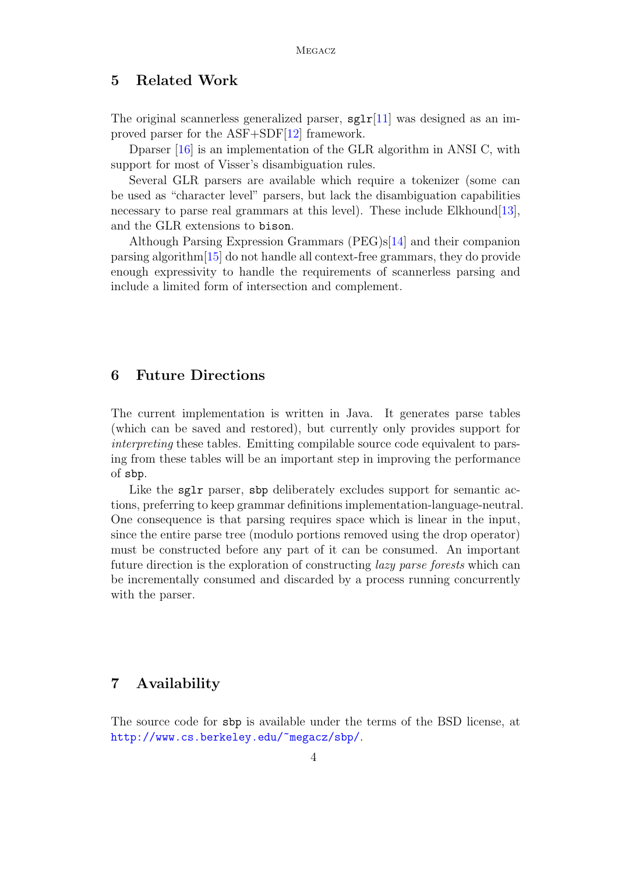## 5 Related Work

The original scannerless generalized parser,  $sg1r[11]$  $sg1r[11]$  was designed as an improved parser for the ASF+SDF[\[12\]](#page-4-10) framework.

Dparser [\[16\]](#page-5-0) is an implementation of the GLR algorithm in ANSI C, with support for most of Visser's disambiguation rules.

Several GLR parsers are available which require a tokenizer (some can be used as "character level" parsers, but lack the disambiguation capabilities necessary to parse real grammars at this level). These include Elkhound [\[13\]](#page-4-11), and the GLR extensions to bison.

Although Parsing Expression Grammars (PEG)s[\[14\]](#page-4-12) and their companion parsing algorithm[\[15\]](#page-5-1) do not handle all context-free grammars, they do provide enough expressivity to handle the requirements of scannerless parsing and include a limited form of intersection and complement.

#### 6 Future Directions

The current implementation is written in Java. It generates parse tables (which can be saved and restored), but currently only provides support for interpreting these tables. Emitting compilable source code equivalent to parsing from these tables will be an important step in improving the performance of sbp.

Like the sglr parser, sbp deliberately excludes support for semantic actions, preferring to keep grammar definitions implementation-language-neutral. One consequence is that parsing requires space which is linear in the input, since the entire parse tree (modulo portions removed using the drop operator) must be constructed before any part of it can be consumed. An important future direction is the exploration of constructing lazy parse forests which can be incrementally consumed and discarded by a process running concurrently with the parser.

# 7 Availability

The source code for sbp is available under the terms of the BSD license, at <http://www.cs.berkeley.edu/~megacz/sbp/>.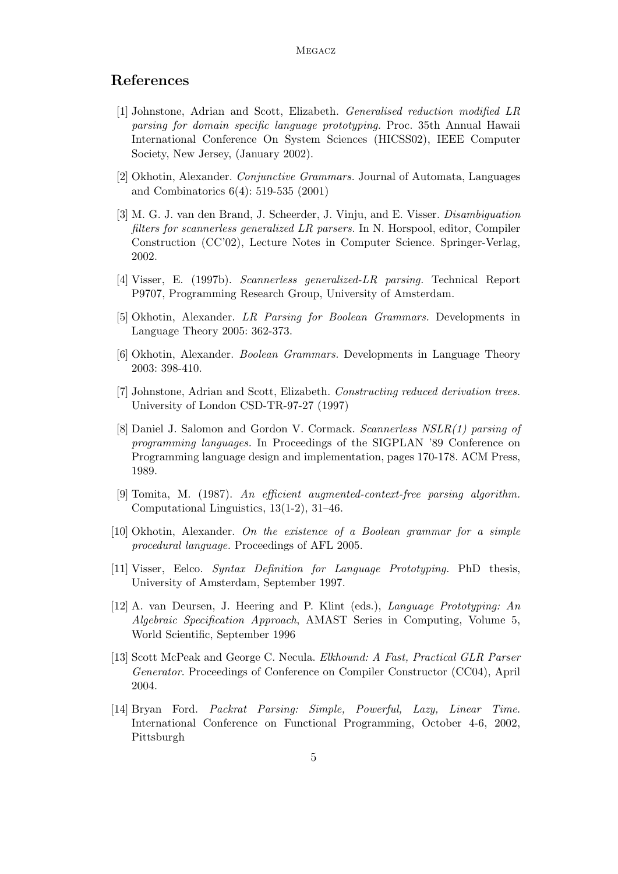## References

- <span id="page-4-5"></span>[1] Johnstone, Adrian and Scott, Elizabeth. Generalised reduction modified LR parsing for domain specific language prototyping. Proc. 35th Annual Hawaii International Conference On System Sciences (HICSS02), IEEE Computer Society, New Jersey, (January 2002).
- <span id="page-4-2"></span>[2] Okhotin, Alexander. Conjunctive Grammars. Journal of Automata, Languages and Combinatorics 6(4): 519-535 (2001)
- <span id="page-4-6"></span>[3] M. G. J. van den Brand, J. Scheerder, J. Vinju, and E. Visser. Disambiguation filters for scannerless generalized LR parsers. In N. Horspool, editor, Compiler Construction (CC'02), Lecture Notes in Computer Science. Springer-Verlag, 2002.
- <span id="page-4-4"></span>[4] Visser, E. (1997b). Scannerless generalized-LR parsing. Technical Report P9707, Programming Research Group, University of Amsterdam.
- [5] Okhotin, Alexander. LR Parsing for Boolean Grammars. Developments in Language Theory 2005: 362-373.
- <span id="page-4-3"></span>[6] Okhotin, Alexander. Boolean Grammars. Developments in Language Theory 2003: 398-410.
- <span id="page-4-7"></span>[7] Johnstone, Adrian and Scott, Elizabeth. Constructing reduced derivation trees. University of London CSD-TR-97-27 (1997)
- <span id="page-4-0"></span>[8] Daniel J. Salomon and Gordon V. Cormack. Scannerless NSLR(1) parsing of programming languages. In Proceedings of the SIGPLAN '89 Conference on Programming language design and implementation, pages 170-178. ACM Press, 1989.
- <span id="page-4-1"></span>[9] Tomita, M. (1987). An efficient augmented-context-free parsing algorithm. Computational Linguistics, 13(1-2), 31–46.
- <span id="page-4-8"></span>[10] Okhotin, Alexander. On the existence of a Boolean grammar for a simple procedural language. Proceedings of AFL 2005.
- <span id="page-4-9"></span>[11] Visser, Eelco. Syntax Definition for Language Prototyping. PhD thesis, University of Amsterdam, September 1997.
- <span id="page-4-10"></span>[12] A. van Deursen, J. Heering and P. Klint (eds.), Language Prototyping: An Algebraic Specification Approach, AMAST Series in Computing, Volume 5, World Scientific, September 1996
- <span id="page-4-11"></span>[13] Scott McPeak and George C. Necula. Elkhound: A Fast, Practical GLR Parser Generator. Proceedings of Conference on Compiler Constructor (CC04), April 2004.
- <span id="page-4-12"></span>[14] Bryan Ford. Packrat Parsing: Simple, Powerful, Lazy, Linear Time. International Conference on Functional Programming, October 4-6, 2002, Pittsburgh